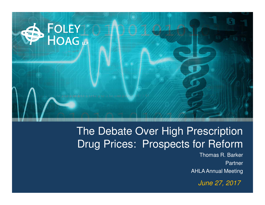

# The Debate Over High Prescription Drug Prices: Prospects for Reform

 Thomas R. BarkerPartnerAHLA Annual Meeting

June 27, 2017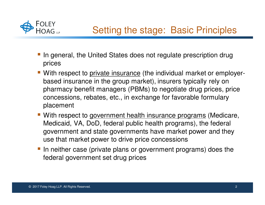

- **If** In general, the United States does not regulate prescription drug prices
- **With respect to private insurance** (the individual market or employerbased insurance in the group market), insurers typically rely on pharmacy benefit managers (PBMs) to negotiate drug prices, price concessions, rebates, etc., in exchange for favorable formulary placement
- With respect to government health insurance programs (Medicare, Medicaid, VA, DoD, federal public health programs), the federal government and state governments have market power and they use that market power to drive price concessions
- In neither case (private plans or government programs) does the federal government set drug prices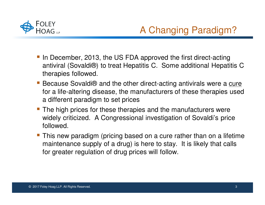

# A Changing Paradigm?

- In December, 2013, the US FDA approved the first direct-acting antiviral (Sovaldi®) to treat Hepatitis C. Some additional Hepatitis C therapies followed.
- Because Sovaldi® and the other direct-acting antivirals were a cure for a life-altering disease, the manufacturers of these therapies used a different paradigm to set prices
- The high prices for these therapies and the manufacturers were widely criticized. A Congressional investigation of Sovaldi's price followed.
- **This new paradigm (pricing based on a cure rather than on a lifetime** maintenance supply of a drug) is here to stay. It is likely that calls for greater regulation of drug prices will follow.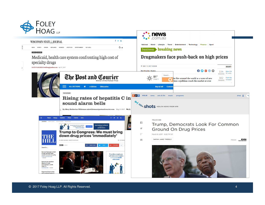

 $\frac{1}{v}$ 

 $\bar{I}$ 

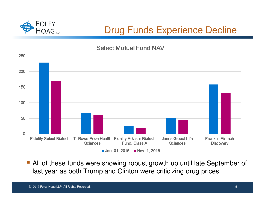

# Drug Funds Experience Decline

## **Select Mutual Fund NAV**



• All of these funds were showing robust growth up until late September of last year as both Trump and Clinton were criticizing drug prices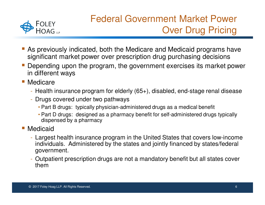

# Federal Government Market Power Over Drug Pricing

- **Service Service**  As previously indicated, both the Medicare and Medicaid programs have significant market power over prescription drug purchasing decisions
- **Depending upon the program, the government exercises its market power** and the state of the state of the state of the state of the state of the state of the state of the state of th in different ways

**Medicare** 

- Health insurance program for elderly (65+), disabled, end-stage renal disease
- Drugs covered under two pathways
	- Part B drugs: typically physician-administered drugs as a medical benefit
	- Part D drugs: designed as a pharmacy benefit for self-administered drugs typically dispensed by a pharmacy
- and the state of the state of the state of the state of the state of the state of the state of the state of th Medicaid
	- Largest health insurance program in the United States that covers low-income individuals. Administered by the states and jointly financed by states/federal government.
	- Outpatient prescription drugs are not a mandatory benefit but all states cover them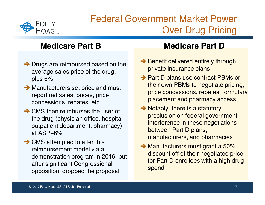

# Federal Government Market Power Over Drug Pricing

## **Medicare Part B**

- → Drugs are reimbursed based on the average sales price of the drug average sales price of the drug, plus 6%
- Manufacturers set price and must<br>report net sales prices price report net sales, prices, price concessions, rebates, etc.
- → CMS then reimburses the user of<br>the drug (physician office hospita the drug (physician office, hospital outpatient department, pharmacy) at ASP+6%
- CMS attempted to alter this<br>reimbursement model via a reimbursement model via a demonstration program in 2016, but after significant Congressional opposition, dropped the proposal

## **Medicare Part D**

- → Benefit delivered entirely through<br>nrivate insurance plans private insurance plans
- → Part D plans use contract PBMs or<br>their own PBMs to negotiate pricing their own PBMs to negotiate pricing, price concessions, rebates, formulary placement and pharmacy access
- Notably, there is a statutory<br>nreclusion on federal govern preclusion on federal government interference in these negotiations between Part D plans, manufacturers, and pharmacies
- Manufacturers must grant a 50%<br>discount off of their negotiated pri discount off of their negotiated price for Part D enrollees with a high drug spend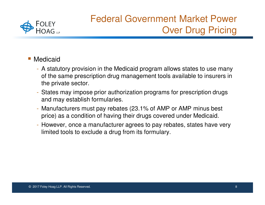

# Federal Government Market Power Over Drug Pricing

- **Medicaid** 
	- A statutory provision in the Medicaid program allows states to use many of the same prescription drug management tools available to insurers in the private sector.
	- States may impose prior authorization programs for prescription drugs and may establish formularies.
	- Manufacturers must pay rebates (23.1% of AMP or AMP minus best price) as a condition of having their drugs covered under Medicaid.
	- However, once a manufacturer agrees to pay rebates, states have very limited tools to exclude a drug from its formulary.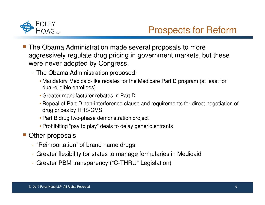

## Prospects for Reform

- and the state of the state of the state of the state of the state of the state of the state of the state of th The Obama Administration made several proposals to more aggressively regulate drug pricing in government markets, but these were never adopted by Congress.
	- The Obama Administration proposed:
		- Mandatory Medicaid-like rebates for the Medicare Part D program (at least for dual-eligible enrollees)
		- Greater manufacturer rebates in Part D
		- Repeal of Part D non-interference clause and requirements for direct negotiation of drug prices by HHS/CMS
		- Part B drug two-phase demonstration project
		- Prohibiting "pay to play" deals to delay generic entrants
- Other proposals
	- "Reimportation" of brand name drugs
	- Greater flexibility for states to manage formularies in Medicaid
	- Greater PBM transparency ("C-THRU" Legislation)